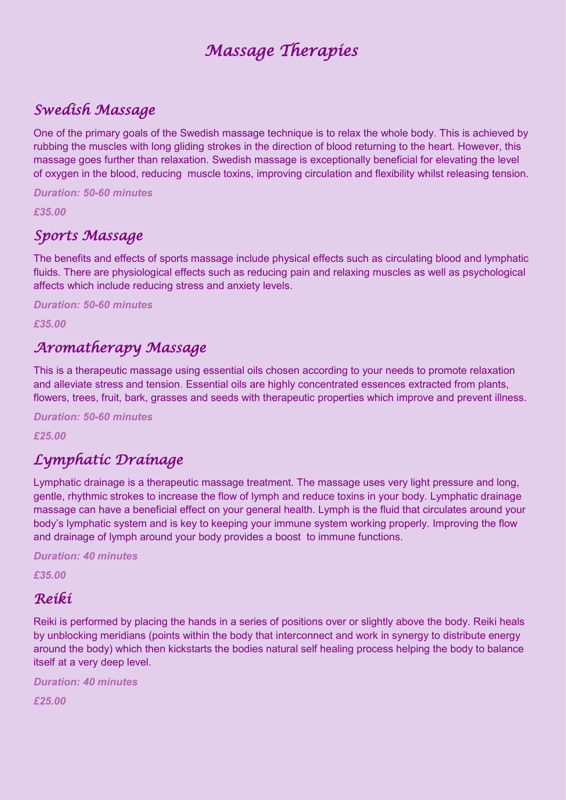# *Massage Therapies*

### *Swedish Massage*

One of the primary goals of the Swedish massage technique is to relax the whole body. This is achieved by rubbing the muscles with long gliding strokes in the direction of blood returning to the heart. However, this massage goes further than relaxation. Swedish massage is exceptionally beneficial for elevating the level of oxygen in the blood, reducing muscle toxins, improving circulation and flexibility whilst releasing tension.

*Duration: 50-60 minutes*

*£35.00*

### *Sports Massage*

The benefits and effects of sports massage include physical effects such as circulating blood and lymphatic fluids. There are physiological effects such as reducing pain and relaxing muscles as well as psychological affects which include reducing stress and anxiety levels.

*Duration: 50-60 minutes*

*£35.00* 

### *Aromatherapy Massage*

This is a therapeutic massage using essential oils chosen according to your needs to promote relaxation and alleviate stress and tension. Essential oils are highly concentrated essences extracted from plants, flowers, trees, fruit, bark, grasses and seeds with therapeutic properties which improve and prevent illness.

*Duration: 50-60 minutes*

*£25.00* 

## *Lymphatic Drainage*

Lymphatic drainage is a therapeutic [massage](https://goodspaguide.co.uk/features/about-massage) treatment. The massage uses very light pressure and long, gentle, rhythmic strokes to increase the flow of lymph and reduce toxins in your body. Lymphatic drainage massage can have a beneficial effect on your general health. Lymph is the fluid that circulates around your body's lymphatic system and is key to keeping your immune system working properly. Improving the flow and drainage of lymph around your body provides a boost to immune functions.

*Duration: 40 minutes*

*£35.00* 

#### *Reiki*

Reiki is performed by placing the hands in a series of positions over or slightly above the body. Reiki heals by unblocking meridians (points within the body that interconnect and work in synergy to distribute energy around the body) which then kickstarts the bodies natural self healing process helping the body to balance itself at a very deep level.

*Duration: 40 minutes £25.00*